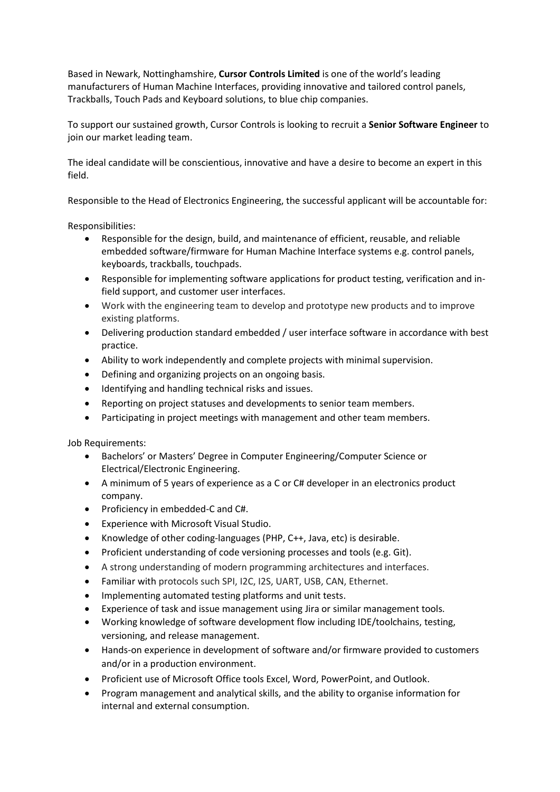Based in Newark, Nottinghamshire, **Cursor Controls Limited** is one of the world's leading manufacturers of Human Machine Interfaces, providing innovative and tailored control panels, Trackballs, Touch Pads and Keyboard solutions, to blue chip companies.

To support our sustained growth, Cursor Controls is looking to recruit a **Senior Software Engineer** to join our market leading team.

The ideal candidate will be conscientious, innovative and have a desire to become an expert in this field.

Responsible to the Head of Electronics Engineering, the successful applicant will be accountable for:

Responsibilities:

- Responsible for the design, build, and maintenance of efficient, reusable, and reliable embedded software/firmware for Human Machine Interface systems e.g. control panels, keyboards, trackballs, touchpads.
- Responsible for implementing software applications for product testing, verification and infield support, and customer user interfaces.
- Work with the engineering team to develop and prototype new products and to improve existing platforms.
- Delivering production standard embedded / user interface software in accordance with best practice.
- Ability to work independently and complete projects with minimal supervision.
- Defining and organizing projects on an ongoing basis.
- Identifying and handling technical risks and issues.
- Reporting on project statuses and developments to senior team members.
- Participating in project meetings with management and other team members.

Job Requirements:

- Bachelors' or Masters' Degree in Computer Engineering/Computer Science or Electrical/Electronic Engineering.
- A minimum of 5 years of experience as a C or C# developer in an electronics product company.
- Proficiency in embedded-C and C#.
- Experience with Microsoft Visual Studio.
- Knowledge of other coding-languages (PHP, C++, Java, etc) is desirable.
- Proficient understanding of code versioning processes and tools (e.g. Git).
- A strong understanding of modern programming architectures and interfaces.
- Familiar with protocols such SPI, I2C, I2S, UART, USB, CAN, Ethernet.
- Implementing automated testing platforms and unit tests.
- Experience of task and issue management using Jira or similar management tools.
- Working knowledge of software development flow including IDE/toolchains, testing, versioning, and release management.
- Hands-on experience in development of software and/or firmware provided to customers and/or in a production environment.
- Proficient use of Microsoft Office tools Excel, Word, PowerPoint, and Outlook.
- Program management and analytical skills, and the ability to organise information for internal and external consumption.